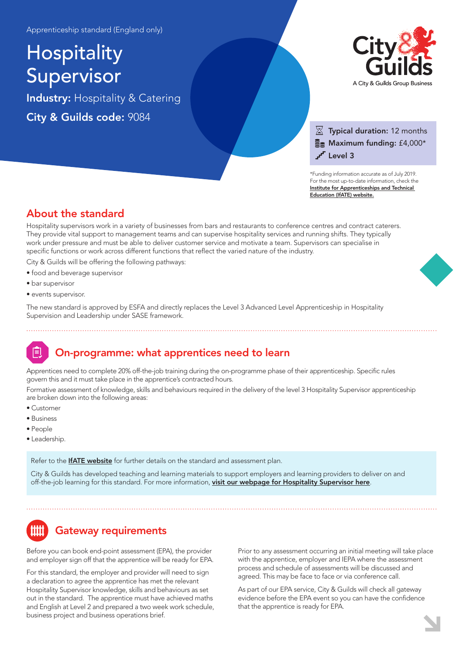Apprenticeship standard (England only)

# **Hospitality** Supervisor

Industry: Hospitality & Catering City & Guilds code: 9084



### $\overline{\mathbb{X}}$  Typical duration: 12 months  $\Xi$  Maximum funding: £4,000\* Level 3

\*Funding information accurate as of July 2019. For the most up-to-date information, check the [Institute for Apprenticeships and Technical](https://www.instituteforapprenticeships.org/apprenticeship-standards/hospitality-supervisor/)  Education (IfATE) website.

## About the standard

Hospitality supervisors work in a variety of businesses from bars and restaurants to conference centres and contract caterers. They provide vital support to management teams and can supervise hospitality services and running shifts. They typically work under pressure and must be able to deliver customer service and motivate a team. Supervisors can specialise in specific functions or work across different functions that reflect the varied nature of the industry.

City & Guilds will be offering the following pathways:

- food and beverage supervisor
- bar supervisor
- events supervisor.

The new standard is approved by ESFA and directly replaces the Level 3 Advanced Level Apprenticeship in Hospitality Supervision and Leadership under SASE framework.

# On-programme: what apprentices need to learn

Apprentices need to complete 20% off-the-job training during the on-programme phase of their apprenticeship. Specific rules govern this and it must take place in the apprentice's contracted hours.

Formative assessment of knowledge, skills and behaviours required in the delivery of the level 3 Hospitality Supervisor apprenticeship are broken down into the following areas:

- Customer
- Business
- People
- Leadership.

Refer to the **[IfATE website](https://www.instituteforapprenticeships.org/apprenticeship-standards/hospitality-supervisor/)** for further details on the standard and assessment plan.

City & Guilds has developed teaching and learning materials to support employers and learning providers to deliver on and off-the-job learning for this standard. For more information, [visit our webpage for Hospitality Supervisor here](https://www.cityandguilds.com/qualifications-and-apprenticeships/hospitality-and-catering/hospitality-and-catering/9084-hospitality-supervisor#tab=information).

# Gateway requirements

Before you can book end-point assessment (EPA), the provider and employer sign off that the apprentice will be ready for EPA.

For this standard, the employer and provider will need to sign a declaration to agree the apprentice has met the relevant Hospitality Supervisor knowledge, skills and behaviours as set out in the standard. The apprentice must have achieved maths and English at Level 2 and prepared a two week work schedule, business project and business operations brief.

Prior to any assessment occurring an initial meeting will take place with the apprentice, employer and IEPA where the assessment process and schedule of assessments will be discussed and agreed. This may be face to face or via conference call.

As part of our EPA service, City & Guilds will check all gateway evidence before the EPA event so you can have the confidence that the apprentice is ready for EPA.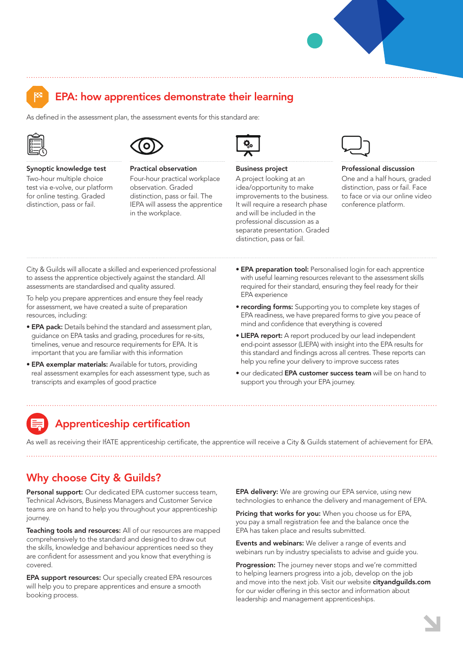

# EPA: how apprentices demonstrate their learning

As defined in the assessment plan, the assessment events for this standard are:





#### Synoptic knowledge test

Two-hour multiple choice test via e-volve, our platform for online testing. Graded distinction, pass or fail.



Practical observation Four-hour practical workplace observation. Graded distinction, pass or fail. The IEPA will assess the apprentice in the workplace.



Business project

A project looking at an idea/opportunity to make improvements to the business. It will require a research phase and will be included in the professional discussion as a separate presentation. Graded distinction, pass or fail.



#### Professional discussion

One and a half hours, graded distinction, pass or fail. Face to face or via our online video conference platform.

City & Guilds will allocate a skilled and experienced professional to assess the apprentice objectively against the standard. All assessments are standardised and quality assured.

To help you prepare apprentices and ensure they feel ready for assessment, we have created a suite of preparation resources, including:

- EPA pack: Details behind the standard and assessment plan, guidance on EPA tasks and grading, procedures for re-sits, timelines, venue and resource requirements for EPA. It is important that you are familiar with this information
- EPA exemplar materials: Available for tutors, providing real assessment examples for each assessment type, such as transcripts and examples of good practice
- **EPA preparation tool:** Personalised login for each apprentice with useful learning resources relevant to the assessment skills required for their standard, ensuring they feel ready for their EPA experience
- recording forms: Supporting you to complete key stages of EPA readiness, we have prepared forms to give you peace of mind and confidence that everything is covered
- LIEPA report: A report produced by our lead independent end-point assessor (LIEPA) with insight into the EPA results for this standard and findings across all centres. These reports can help you refine your delivery to improve success rates
- our dedicated EPA customer success team will be on hand to support you through your EPA journey.

# Apprenticeship certification

As well as receiving their IfATE apprenticeship certificate, the apprentice will receive a City & Guilds statement of achievement for EPA.

# Why choose City & Guilds?

Personal support: Our dedicated EPA customer success team, Technical Advisors, Business Managers and Customer Service teams are on hand to help you throughout your apprenticeship journey.

Teaching tools and resources: All of our resources are mapped comprehensively to the standard and designed to draw out the skills, knowledge and behaviour apprentices need so they are confident for assessment and you know that everything is covered.

EPA support resources: Our specially created EPA resources will help you to prepare apprentices and ensure a smooth booking process.

**EPA delivery:** We are growing our EPA service, using new technologies to enhance the delivery and management of EPA.

Pricing that works for you: When you choose us for EPA, you pay a small registration fee and the balance once the EPA has taken place and results submitted.

Events and webinars: We deliver a range of events and webinars run by industry specialists to advise and guide you.

Progression: The journey never stops and we're committed to helping learners progress into a job, develop on the job and move into the next job. Visit our website cityandguilds.com for our wider offering in this sector and information about leadership and management apprenticeships.